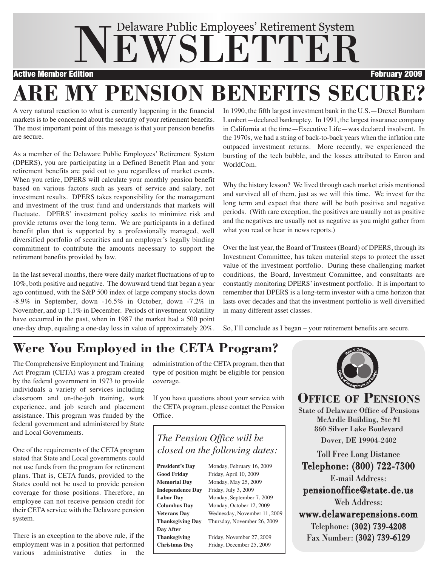# NEWSLETTER Delaware Public Employees' Retirement System

Active Member Edition February 2009

## **ARE MY PENSION BENEFITS SECURE?**

A very natural reaction to what is currently happening in the financial markets is to be concerned about the security of your retirement benefits. The most important point of this message is that your pension benefits are secure.

As a member of the Delaware Public Employees' Retirement System (DPERS), you are participating in a Defined Benefit Plan and your retirement benefits are paid out to you regardless of market events. When you retire, DPERS will calculate your monthly pension benefit based on various factors such as years of service and salary, not investment results. DPERS takes responsibility for the management and investment of the trust fund and understands that markets will fluctuate. DPERS' investment policy seeks to minimize risk and provide returns over the long term. We are participants in a defined benefit plan that is supported by a professionally managed, well diversified portfolio of securities and an employer's legally binding commitment to contribute the amounts necessary to support the retirement benefits provided by law.

In the last several months, there were daily market fluctuations of up to 10%, both positive and negative. The downward trend that began a year ago continued, with the S&P 500 index of large company stocks down -8.9% in September, down -16.5% in October, down -7.2% in November, and up 1.1% in December. Periods of investment volatility have occurred in the past, when in 1987 the market had a 500 point one-day drop, equaling a one-day loss in value of approximately 20%. In 1990, the fifth largest investment bank in the U.S.—Drexel Burnham Lambert—declared bankruptcy. In 1991, the largest insurance company in California at the time—Executive Life—was declared insolvent. In the 1970s, we had a string of back-to-back years when the inflation rate outpaced investment returns. More recently, we experienced the bursting of the tech bubble, and the losses attributed to Enron and WorldCom.

Why the history lesson? We lived through each market crisis mentioned and survived all of them, just as we will this time. We invest for the long term and expect that there will be both positive and negative periods. (With rare exception, the positives are usually not as positive and the negatives are usually not as negative as you might gather from what you read or hear in news reports.)

Over the last year, the Board of Trustees (Board) of DPERS, through its Investment Committee, has taken material steps to protect the asset value of the investment portfolio. During these challenging market conditions, the Board, Investment Committee, and consultants are constantly monitoring DPERS' investment portfolio. It is important to remember that DPERS is a long-term investor with a time horizon that lasts over decades and that the investment portfolio is well diversified in many different asset classes.

So, I'll conclude as I began – your retirement benefits are secure.

### **Were You Employed in the CETA Program?**

The Comprehensive Employment and Training Act Program (CETA) was a program created by the federal government in 1973 to provide individuals a variety of services including classroom and on-the-job training, work experience, and job search and placement assistance. This program was funded by the federal government and administered by State and Local Governments.

One of the requirements of the CETA program stated that State and Local governments could not use funds from the program for retirement plans. That is, CETA funds, provided to the States could not be used to provide pension coverage for those positions. Therefore, an employee can not receive pension credit for their CETA service with the Delaware pension system.

There is an exception to the above rule, if the employment was in a position that performed various administrative duties in the

administration of the CETA program, then that type of position might be eligible for pension coverage.

If you have questions about your service with the CETA program, please contact the Pension Office.

### *The Pension Office will be closed on the following dates:*

| <b>President's Day</b>  | Monday, February 16, 2009<br>Friday, April 10, 2009<br>Monday, May 25, 2009 |  |  |
|-------------------------|-----------------------------------------------------------------------------|--|--|
| <b>Good Friday</b>      |                                                                             |  |  |
| <b>Memorial Day</b>     |                                                                             |  |  |
| <b>Independence Day</b> | Friday, July 3, 2009                                                        |  |  |
| <b>Labor Day</b>        | Monday, September 7, 2009                                                   |  |  |
| <b>Columbus Day</b>     | Monday, October 12, 2009                                                    |  |  |
| <b>Veterans Dav</b>     | Wednesday, November 11, 2009                                                |  |  |
| <b>Thanksgiving Dav</b> | Thursday, November 26, 2009                                                 |  |  |
| Day After               |                                                                             |  |  |
| <b>Thanksgiving</b>     | Friday, November 27, 2009                                                   |  |  |
| <b>Christmas Dav</b>    | Friday, December 25, 2009                                                   |  |  |



**OFFICE OF PENSIONS** State of Delaware Office of Pensions McArdle Building, Ste #1

860 Silver Lake Boulevard Dover, DE 19904-2402

Toll Free Long Distance Telephone: (800) 722-7300 E-mail Address: pensionoffice@state.de.us Web Address: www.delawarepensions.com Telephone: (302) 739-4208 Fax Number: (302) 739-6129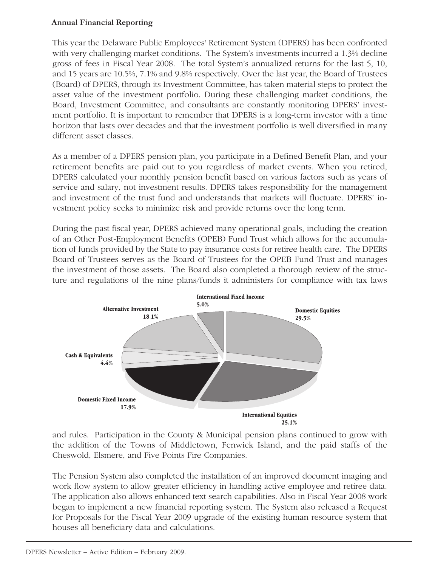### **Annual Financial Reporting**

This year the Delaware Public Employees' Retirement System (DPERS) has been confronted with very challenging market conditions. The System's investments incurred a 1.3% decline gross of fees in Fiscal Year 2008. The total System's annualized returns for the last 5, 10, and 15 years are 10.5%, 7.1% and 9.8% respectively. Over the last year, the Board of Trustees (Board) of DPERS, through its Investment Committee, has taken material steps to protect the asset value of the investment portfolio. During these challenging market conditions, the Board, Investment Committee, and consultants are constantly monitoring DPERS' investment portfolio. It is important to remember that DPERS is a long-term investor with a time horizon that lasts over decades and that the investment portfolio is well diversified in many different asset classes.

As a member of a DPERS pension plan, you participate in a Defined Benefit Plan, and your retirement benefits are paid out to you regardless of market events. When you retired, DPERS calculated your monthly pension benefit based on various factors such as years of service and salary, not investment results. DPERS takes responsibility for the management and investment of the trust fund and understands that markets will fluctuate. DPERS' investment policy seeks to minimize risk and provide returns over the long term.

During the past fiscal year, DPERS achieved many operational goals, including the creation of an Other Post-Employment Benefits (OPEB) Fund Trust which allows for the accumulation of funds provided by the State to pay insurance costs for retiree health care. The DPERS Board of Trustees serves as the Board of Trustees for the OPEB Fund Trust and manages the investment of those assets. The Board also completed a thorough review of the structure and regulations of the nine plans/funds it administers for compliance with tax laws



and rules. Participation in the County & Municipal pension plans continued to grow with the addition of the Towns of Middletown, Fenwick Island, and the paid staffs of the Cheswold, Elsmere, and Five Points Fire Companies.

The Pension System also completed the installation of an improved document imaging and work flow system to allow greater efficiency in handling active employee and retiree data. The application also allows enhanced text search capabilities. Also in Fiscal Year 2008 work began to implement a new financial reporting system. The System also released a Request for Proposals for the Fiscal Year 2009 upgrade of the existing human resource system that houses all beneficiary data and calculations.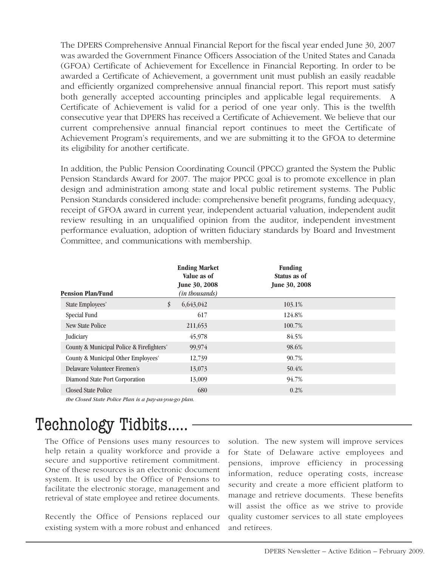The DPERS Comprehensive Annual Financial Report for the fiscal year ended June 30, 2007 was awarded the Government Finance Officers Association of the United States and Canada (GFOA) Certificate of Achievement for Excellence in Financial Reporting. In order to be awarded a Certificate of Achievement, a government unit must publish an easily readable and efficiently organized comprehensive annual financial report. This report must satisfy both generally accepted accounting principles and applicable legal requirements. A Certificate of Achievement is valid for a period of one year only. This is the twelfth consecutive year that DPERS has received a Certificate of Achievement. We believe that our current comprehensive annual financial report continues to meet the Certificate of Achievement Program's requirements, and we are submitting it to the GFOA to determine its eligibility for another certificate.

In addition, the Public Pension Coordinating Council (PPCC) granted the System the Public Pension Standards Award for 2007. The major PPCC goal is to promote excellence in plan design and administration among state and local public retirement systems. The Public Pension Standards considered include: comprehensive benefit programs, funding adequacy, receipt of GFOA award in current year, independent actuarial valuation, independent audit review resulting in an unqualified opinion from the auditor, independent investment performance evaluation, adoption of written fiduciary standards by Board and Investment Committee, and communications with membership.

| <b>Pension Plan/Fund</b>                              | <b>Ending Market</b><br>Value as of<br><b>June 30, 2008</b><br>(in thousands) | <b>Funding</b><br>Status as of<br><b>June 30, 2008</b> |  |
|-------------------------------------------------------|-------------------------------------------------------------------------------|--------------------------------------------------------|--|
| State Employees'                                      | \$<br>6,643,042                                                               | 103.1%                                                 |  |
| Special Fund                                          | 617                                                                           | 124.8%                                                 |  |
| <b>New State Police</b>                               | 211,653                                                                       | 100.7%                                                 |  |
| Judiciary                                             | 45,978                                                                        | 84.5%                                                  |  |
| County & Municipal Police & Firefighters'             | 99,974                                                                        | 98.6%                                                  |  |
| County & Municipal Other Employees'                   | 12,739                                                                        | 90.7%                                                  |  |
| Delaware Volunteer Firemen's                          | 13,073                                                                        | 50.4%                                                  |  |
| Diamond State Port Corporation                        | 13,009                                                                        | 94.7%                                                  |  |
| <b>Closed State Police</b>                            | 680                                                                           | 0.2%                                                   |  |
| the Closed State Police Plan is a pay-as-you-go plan. |                                                                               |                                                        |  |

### Technology Tidbits…..

The Office of Pensions uses many resources to help retain a quality workforce and provide a secure and supportive retirement commitment. One of these resources is an electronic document system. It is used by the Office of Pensions to facilitate the electronic storage, management and retrieval of state employee and retiree documents.

Recently the Office of Pensions replaced our existing system with a more robust and enhanced

solution. The new system will improve services for State of Delaware active employees and pensions, improve efficiency in processing information, reduce operating costs, increase security and create a more efficient platform to manage and retrieve documents. These benefits will assist the office as we strive to provide quality customer services to all state employees and retirees.